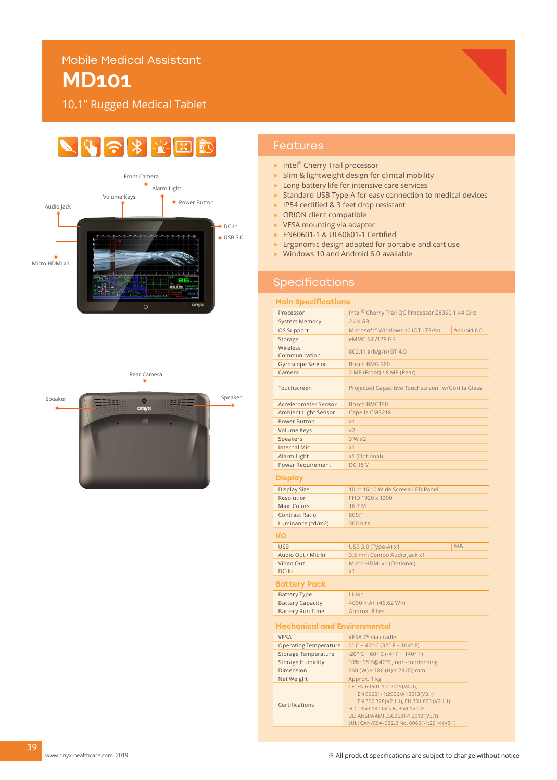## Mobile Medical Assistant

# **MD101**

10.1" Rugged Medical Tablet

#### $\mathbb{C} \times \mathbb{R}$  $\blacktriangleright$ 网 **FO**





## Features

- Intel® Cherry Trail processor
- Slim & lightweight design for clinical mobility
- Long battery life for intensive care services
- Standard USB Type-A for easy connection to medical devices
- IP54 certified & 3 feet drop resistant
- ORION client compatible
- VESA mounting via adapter
- EN60601-1 & UL60601-1 Certified
- Ergonomic design adapted for portable and cart use
- Windows 10 and Android 6.0 available

## Specifications

#### Main Specifications

| Processor                           | Intel <sup>®</sup> Cherry Trail QC Processor Z8350 1.44 GHz              |             |
|-------------------------------------|--------------------------------------------------------------------------|-------------|
| <b>System Memory</b>                | 2/4GB                                                                    |             |
| OS Support                          | Microsoft <sup>®</sup> Windows 10 IOT LTS/An                             | Android 6.0 |
| Storage                             | eMMC 64/128 GB                                                           |             |
| Wireless                            |                                                                          |             |
| Communication                       | 802.11 a/b/g/n+BT 4.0                                                    |             |
| Gyroscope Sensor                    | Bosch BMG 160                                                            |             |
| Camera                              | 2 MP (Front) / 8 MP (Rear)                                               |             |
| Touchscreen                         | Projected Capacitive Touchscreen, w/Gorilla Glass                        |             |
| Accelerometer Sensor                | Bosch BMC150                                                             |             |
| Ambient Light Sensor                | Capella CM3218                                                           |             |
| Power Button                        | x1                                                                       |             |
| <b>Volume Keys</b>                  | x <sub>2</sub>                                                           |             |
| Speakers                            | 3 Wx2                                                                    |             |
| <b>Internal Mic</b>                 | x1                                                                       |             |
| Alarm Light                         | x1 (Optional)                                                            |             |
| Power Requirement                   | <b>DC 15 V</b>                                                           |             |
| <b>Display</b>                      |                                                                          |             |
| <b>Display Size</b>                 | 10.1" 16:10 Wide Screen LED Panel                                        |             |
| Resolution                          | FHD 1920 x 1200                                                          |             |
| Max. Colors                         | 16.7 M                                                                   |             |
| <b>Contrast Ratio</b>               | 800:1                                                                    |             |
| Luminance (cd/m2)                   | 300 nits                                                                 |             |
| I/O                                 |                                                                          |             |
| <b>USB</b>                          | USB 3.0 (Type-A) x1                                                      | N/A         |
| Audio Out / Mic In                  | 3.5 mm Combo Audio Jack x1                                               |             |
| Video Out                           | Micro HDMI x1 (Optional)                                                 |             |
| DC-In                               | x1                                                                       |             |
| Battery Pack                        |                                                                          |             |
| <b>Battery Type</b>                 | Li-ion                                                                   |             |
| <b>Battery Capacity</b>             | 4090 mAh (46.62 Wh)                                                      |             |
| <b>Battery Run Time</b>             | Approx. 8 hrs                                                            |             |
| <b>Mechanical and Environmental</b> |                                                                          |             |
| <b>VESA</b>                         | VESA 75 via cradle                                                       |             |
| <b>Operating Temperature</b>        | $0^{\circ}$ C ~ 40° C (32° F ~ 104° F)                                   |             |
| <b>Storage Temperature</b>          | $-20^{\circ}$ C ~ 60° C (-4° F ~ 140° F)                                 |             |
| <b>Storage Humidity</b>             | 10%~95%@40°C, non-condensing                                             |             |
| Dimension                           | 260 (W) x 186 (H) x 23 (D) mm                                            |             |
| Net Weight                          | Approx. 1 kg                                                             |             |
|                                     | CE: EN 60601-1-2:2015(V4.0),                                             |             |
|                                     | EN 60601-1:2006/A1:2013(V3.1)<br>EN 300 328(V2.1.1), EN 301 893 (V2.1.1) |             |
| Certifications                      | FCC: Part 18 Class B, Part 15 C/E                                        |             |

39

UL: ANSI/AAMI ES60601-1:2012 (V3.1) cUL: CAN/CSA-C22.2 No. 60601-1:2014 (V3.1)